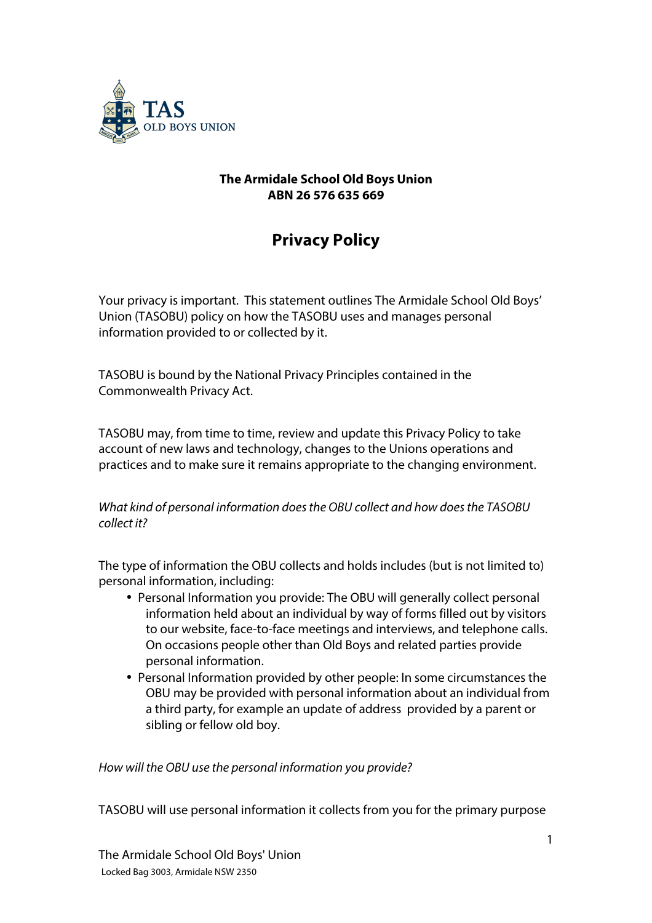

## **The Armidale School Old Boys Union ABN 26 576 635 669**

# **Privacy Policy**

Your privacy is important. This statement outlines The Armidale School Old Boys' Union (TASOBU) policy on how the TASOBU uses and manages personal information provided to or collected by it.

TASOBU is bound by the National Privacy Principles contained in the Commonwealth Privacy Act.

TASOBU may, from time to time, review and update this Privacy Policy to take account of new laws and technology, changes to the Unions operations and practices and to make sure it remains appropriate to the changing environment.

*What kind of personal information does the OBU collect and how does the TASOBU collect it?*

The type of information the OBU collects and holds includes (but is not limited to) personal information, including:

- Personal Information you provide: The OBU will generally collect personal information held about an individual by way of forms filled out by visitors to our website, face-to-face meetings and interviews, and telephone calls. On occasions people other than Old Boys and related parties provide personal information.
- Personal Information provided by other people: In some circumstances the OBU may be provided with personal information about an individual from a third party, for example an update of address provided by a parent or sibling or fellow old boy.

*How will the OBU use the personal information you provide?*

TASOBU will use personal information it collects from you for the primary purpose

The Armidale School Old Boys' Union Locked Bag 3003, Armidale NSW 2350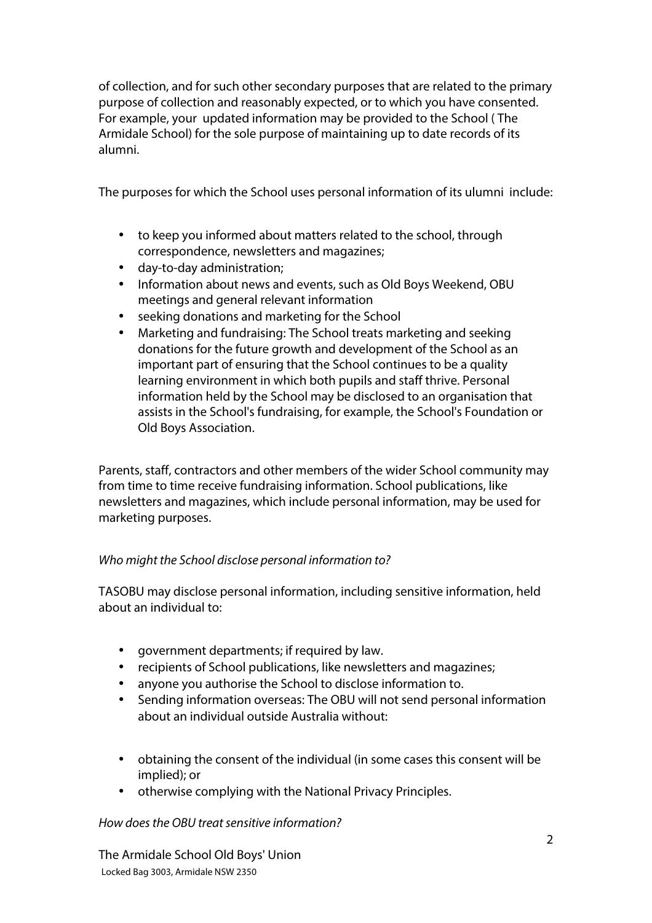of collection, and for such other secondary purposes that are related to the primary purpose of collection and reasonably expected, or to which you have consented. For example, your updated information may be provided to the School ( The Armidale School) for the sole purpose of maintaining up to date records of its alumni.

The purposes for which the School uses personal information of its ulumni include:

- to keep you informed about matters related to the school, through correspondence, newsletters and magazines;
- day-to-day administration;
- Information about news and events, such as Old Boys Weekend, OBU meetings and general relevant information
- seeking donations and marketing for the School
- Marketing and fundraising: The School treats marketing and seeking donations for the future growth and development of the School as an important part of ensuring that the School continues to be a quality learning environment in which both pupils and staff thrive. Personal information held by the School may be disclosed to an organisation that assists in the School's fundraising, for example, the School's Foundation or Old Boys Association.

Parents, staff, contractors and other members of the wider School community may from time to time receive fundraising information. School publications, like newsletters and magazines, which include personal information, may be used for marketing purposes.

# *Who might the School disclose personal information to?*

TASOBU may disclose personal information, including sensitive information, held about an individual to:

- government departments; if required by law.
- recipients of School publications, like newsletters and magazines;
- anyone you authorise the School to disclose information to.
- Sending information overseas: The OBU will not send personal information about an individual outside Australia without:
- obtaining the consent of the individual (in some cases this consent will be implied); or
- otherwise complying with the National Privacy Principles.

*How does the OBU treat sensitive information?*

The Armidale School Old Boys' Union Locked Bag 3003, Armidale NSW 2350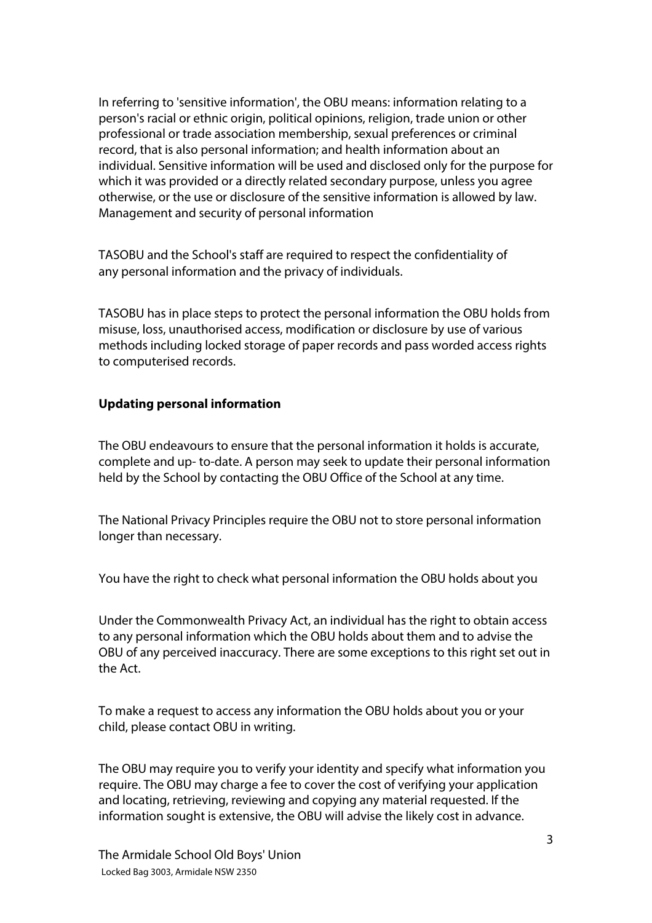In referring to 'sensitive information', the OBU means: information relating to a person's racial or ethnic origin, political opinions, religion, trade union or other professional or trade association membership, sexual preferences or criminal record, that is also personal information; and health information about an individual. Sensitive information will be used and disclosed only for the purpose for which it was provided or a directly related secondary purpose, unless you agree otherwise, or the use or disclosure of the sensitive information is allowed by law. Management and security of personal information

TASOBU and the School's staff are required to respect the confidentiality of any personal information and the privacy of individuals.

TASOBU has in place steps to protect the personal information the OBU holds from misuse, loss, unauthorised access, modification or disclosure by use of various methods including locked storage of paper records and pass worded access rights to computerised records.

#### **Updating personal information**

The OBU endeavours to ensure that the personal information it holds is accurate, complete and up- to-date. A person may seek to update their personal information held by the School by contacting the OBU Office of the School at any time.

The National Privacy Principles require the OBU not to store personal information longer than necessary.

You have the right to check what personal information the OBU holds about you

Under the Commonwealth Privacy Act, an individual has the right to obtain access to any personal information which the OBU holds about them and to advise the OBU of any perceived inaccuracy. There are some exceptions to this right set out in the Act.

To make a request to access any information the OBU holds about you or your child, please contact OBU in writing.

The OBU may require you to verify your identity and specify what information you require. The OBU may charge a fee to cover the cost of verifying your application and locating, retrieving, reviewing and copying any material requested. If the information sought is extensive, the OBU will advise the likely cost in advance.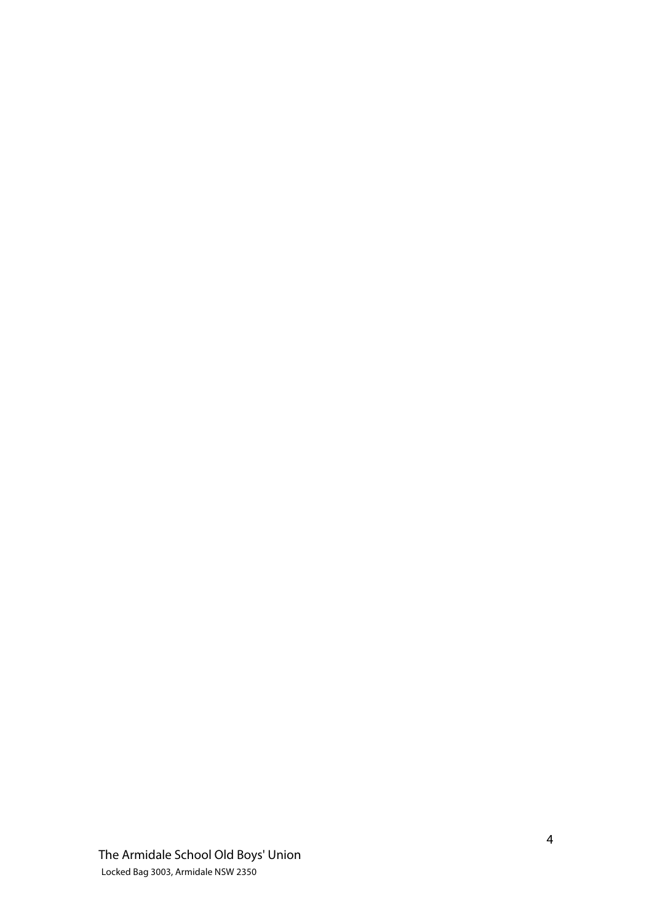The Armidale School Old Boys' Union Locked Bag 3003, Armidale NSW 2350